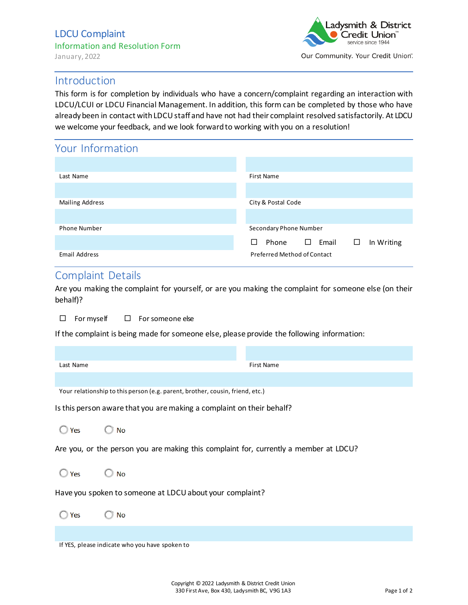

## Introduction

This form is for completion by individuals who have a concern/complaint regarding an interaction with LDCU/LCUI or LDCU Financial Management. In addition, this form can be completed by those who have already been in contact with LDCU staff and have not had their complaint resolved satisfactorily. At LDCU we welcome your feedback, and we look forward to working with you on a resolution!

## Your Information

| Last Name              | First Name                                       |
|------------------------|--------------------------------------------------|
|                        |                                                  |
| <b>Mailing Address</b> | City & Postal Code                               |
|                        |                                                  |
| <b>Phone Number</b>    | Secondary Phone Number                           |
|                        | Phone<br>Email<br>In Writing<br>П<br>$\Box$<br>ப |
| Email Address          | Preferred Method of Contact                      |

## Complaint Details

Are you making the complaint for yourself, or are you making the complaint for someone else (on their behalf)?

 $\Box$  For myself  $\Box$  For someone else

If the complaint is being made for someone else, please provide the following information:

| Last Name                                                                             | <b>First Name</b> |  |
|---------------------------------------------------------------------------------------|-------------------|--|
|                                                                                       |                   |  |
| Your relationship to this person (e.g. parent, brother, cousin, friend, etc.)         |                   |  |
| Is this person aware that you are making a complaint on their behalf?                 |                   |  |
| Yes<br><b>No</b>                                                                      |                   |  |
| Are you, or the person you are making this complaint for, currently a member at LDCU? |                   |  |
| Yes<br><b>No</b>                                                                      |                   |  |
| Have you spoken to someone at LDCU about your complaint?                              |                   |  |
| Yes<br>No                                                                             |                   |  |
|                                                                                       |                   |  |
| If YES, please indicate who you have spoken to                                        |                   |  |